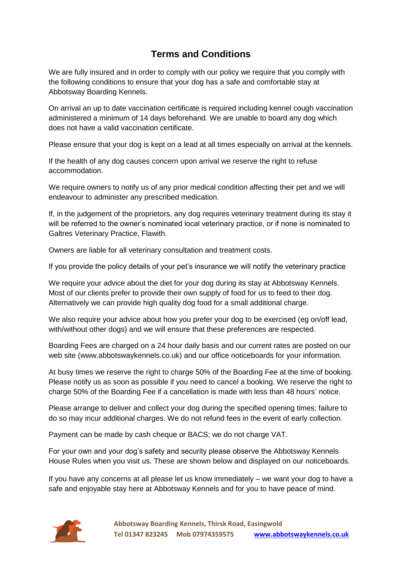## **Terms and Conditions**

We are fully insured and in order to comply with our policy we require that you comply with the following conditions to ensure that your dog has a safe and comfortable stay at Abbotsway Boarding Kennels.

On arrival an up to date vaccination certificate is required including kennel cough vaccination administered a minimum of 14 days beforehand. We are unable to board any dog which does not have a valid vaccination certificate.

Please ensure that your dog is kept on a lead at all times especially on arrival at the kennels.

If the health of any dog causes concern upon arrival we reserve the right to refuse accommodation.

We require owners to notify us of any prior medical condition affecting their pet and we will endeavour to administer any prescribed medication.

If, in the judgement of the proprietors, any dog requires veterinary treatment during its stay it will be referred to the owner's nominated local veterinary practice, or if none is nominated to Galtres Veterinary Practice, Flawith.

Owners are liable for all veterinary consultation and treatment costs.

If you provide the policy details of your pet's insurance we will notify the veterinary practice

We require your advice about the diet for your dog during its stay at Abbotsway Kennels. Most of our clients prefer to provide their own supply of food for us to feed to their dog. Alternatively we can provide high quality dog food for a small additional charge.

We also require your advice about how you prefer your dog to be exercised (eg on/off lead, with/without other dogs) and we will ensure that these preferences are respected.

Boarding Fees are charged on a 24 hour daily basis and our current rates are posted on our web site (www.abbotswaykennels.co.uk) and our office noticeboards for your information.

At busy times we reserve the right to charge 50% of the Boarding Fee at the time of booking. Please notify us as soon as possible if you need to cancel a booking. We reserve the right to charge 50% of the Boarding Fee if a cancellation is made with less than 48 hours' notice.

Please arrange to deliver and collect your dog during the specified opening times; failure to do so may incur additional charges. We do not refund fees in the event of early collection.

Payment can be made by cash cheque or BACS; we do not charge VAT.

For your own and your dog's safety and security please observe the Abbotsway Kennels House Rules when you visit us. These are shown below and displayed on our noticeboards.

If you have any concerns at all please let us know immediately – we want your dog to have a safe and enjoyable stay here at Abbotsway Kennels and for you to have peace of mind.